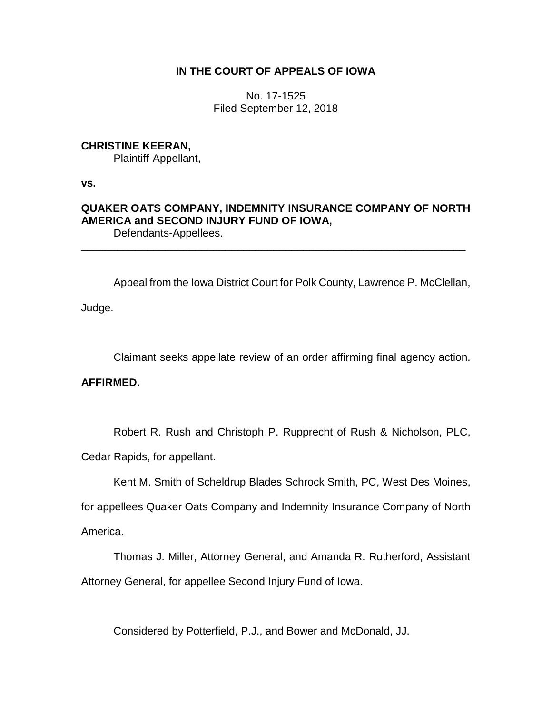# **IN THE COURT OF APPEALS OF IOWA**

No. 17-1525 Filed September 12, 2018

## **CHRISTINE KEERAN,**

Plaintiff-Appellant,

**vs.**

### **QUAKER OATS COMPANY, INDEMNITY INSURANCE COMPANY OF NORTH AMERICA and SECOND INJURY FUND OF IOWA,** Defendants-Appellees.

\_\_\_\_\_\_\_\_\_\_\_\_\_\_\_\_\_\_\_\_\_\_\_\_\_\_\_\_\_\_\_\_\_\_\_\_\_\_\_\_\_\_\_\_\_\_\_\_\_\_\_\_\_\_\_\_\_\_\_\_\_\_\_\_

Appeal from the Iowa District Court for Polk County, Lawrence P. McClellan, Judge.

Claimant seeks appellate review of an order affirming final agency action.

# **AFFIRMED.**

Robert R. Rush and Christoph P. Rupprecht of Rush & Nicholson, PLC,

Cedar Rapids, for appellant.

Kent M. Smith of Scheldrup Blades Schrock Smith, PC, West Des Moines,

for appellees Quaker Oats Company and Indemnity Insurance Company of North America.

Thomas J. Miller, Attorney General, and Amanda R. Rutherford, Assistant Attorney General, for appellee Second Injury Fund of Iowa.

Considered by Potterfield, P.J., and Bower and McDonald, JJ.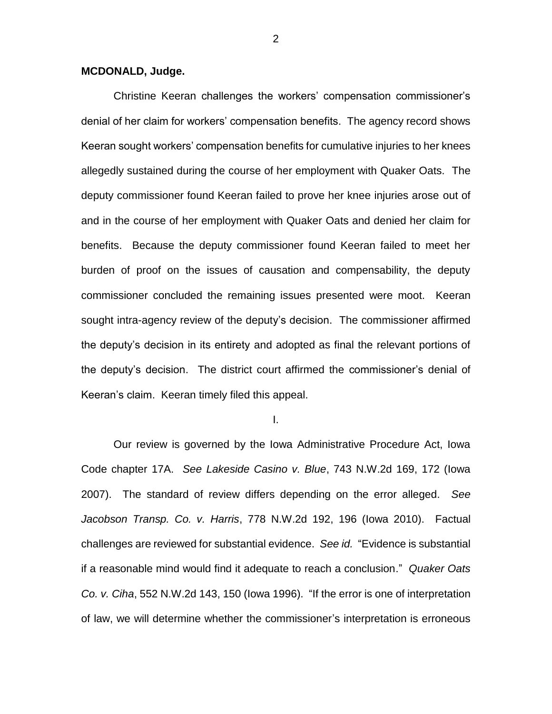#### **MCDONALD, Judge.**

Christine Keeran challenges the workers' compensation commissioner's denial of her claim for workers' compensation benefits. The agency record shows Keeran sought workers' compensation benefits for cumulative injuries to her knees allegedly sustained during the course of her employment with Quaker Oats. The deputy commissioner found Keeran failed to prove her knee injuries arose out of and in the course of her employment with Quaker Oats and denied her claim for benefits. Because the deputy commissioner found Keeran failed to meet her burden of proof on the issues of causation and compensability, the deputy commissioner concluded the remaining issues presented were moot. Keeran sought intra-agency review of the deputy's decision. The commissioner affirmed the deputy's decision in its entirety and adopted as final the relevant portions of the deputy's decision. The district court affirmed the commissioner's denial of Keeran's claim. Keeran timely filed this appeal.

I.

Our review is governed by the Iowa Administrative Procedure Act, Iowa Code chapter 17A. *See Lakeside Casino v. Blue*, 743 N.W.2d 169, 172 (Iowa 2007). The standard of review differs depending on the error alleged. *See Jacobson Transp. Co. v. Harris*, 778 N.W.2d 192, 196 (Iowa 2010). Factual challenges are reviewed for substantial evidence. *See id.* "Evidence is substantial if a reasonable mind would find it adequate to reach a conclusion." *Quaker Oats Co. v. Ciha*, 552 N.W.2d 143, 150 (Iowa 1996). "If the error is one of interpretation of law, we will determine whether the commissioner's interpretation is erroneous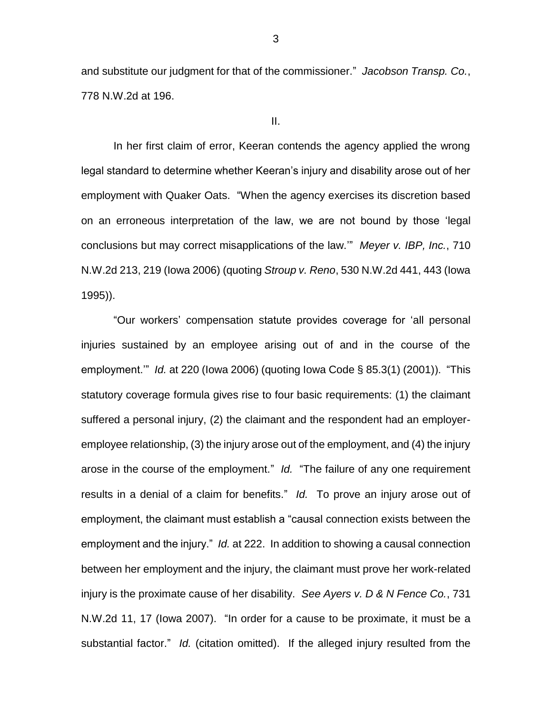and substitute our judgment for that of the commissioner." *Jacobson Transp. Co.*, 778 N.W.2d at 196.

II.

In her first claim of error, Keeran contends the agency applied the wrong legal standard to determine whether Keeran's injury and disability arose out of her employment with Quaker Oats. "When the agency exercises its discretion based on an erroneous interpretation of the law, we are not bound by those 'legal conclusions but may correct misapplications of the law.'" *Meyer v. IBP, Inc.*, 710 N.W.2d 213, 219 (Iowa 2006) (quoting *Stroup v. Reno*, 530 N.W.2d 441, 443 (Iowa 1995)).

"Our workers' compensation statute provides coverage for 'all personal injuries sustained by an employee arising out of and in the course of the employment.'" *Id.* at 220 (Iowa 2006) (quoting Iowa Code § 85.3(1) (2001)). "This statutory coverage formula gives rise to four basic requirements: (1) the claimant suffered a personal injury, (2) the claimant and the respondent had an employeremployee relationship, (3) the injury arose out of the employment, and (4) the injury arose in the course of the employment." *Id.* "The failure of any one requirement results in a denial of a claim for benefits." *Id.* To prove an injury arose out of employment, the claimant must establish a "causal connection exists between the employment and the injury." *Id.* at 222. In addition to showing a causal connection between her employment and the injury, the claimant must prove her work-related injury is the proximate cause of her disability. *See Ayers v. D & N Fence Co.*, 731 N.W.2d 11, 17 (Iowa 2007). "In order for a cause to be proximate, it must be a substantial factor." *Id.* (citation omitted).If the alleged injury resulted from the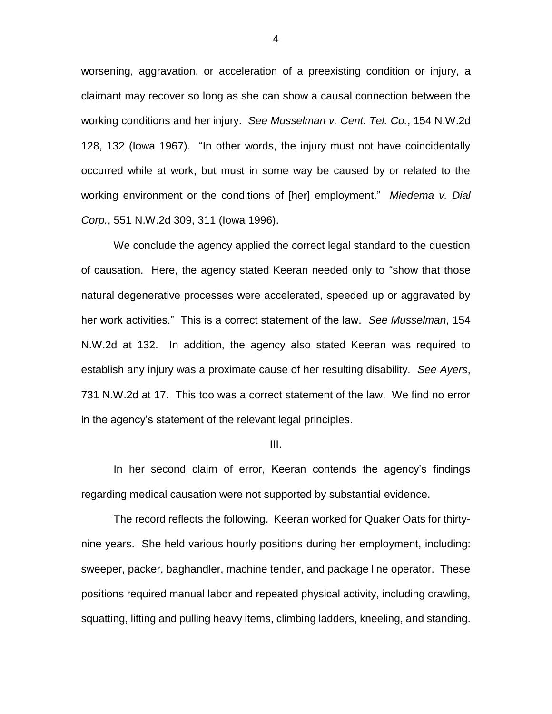worsening, aggravation, or acceleration of a preexisting condition or injury, a claimant may recover so long as she can show a causal connection between the working conditions and her injury. *See Musselman v. Cent. Tel. Co.*, 154 N.W.2d 128, 132 (Iowa 1967). "In other words, the injury must not have coincidentally occurred while at work, but must in some way be caused by or related to the working environment or the conditions of [her] employment." *Miedema v. Dial Corp.*, 551 N.W.2d 309, 311 (Iowa 1996).

We conclude the agency applied the correct legal standard to the question of causation. Here, the agency stated Keeran needed only to "show that those natural degenerative processes were accelerated, speeded up or aggravated by her work activities." This is a correct statement of the law. *See Musselman*, 154 N.W.2d at 132. In addition, the agency also stated Keeran was required to establish any injury was a proximate cause of her resulting disability. *See Ayers*, 731 N.W.2d at 17. This too was a correct statement of the law. We find no error in the agency's statement of the relevant legal principles.

III.

In her second claim of error, Keeran contends the agency's findings regarding medical causation were not supported by substantial evidence.

The record reflects the following. Keeran worked for Quaker Oats for thirtynine years. She held various hourly positions during her employment, including: sweeper, packer, baghandler, machine tender, and package line operator. These positions required manual labor and repeated physical activity, including crawling, squatting, lifting and pulling heavy items, climbing ladders, kneeling, and standing.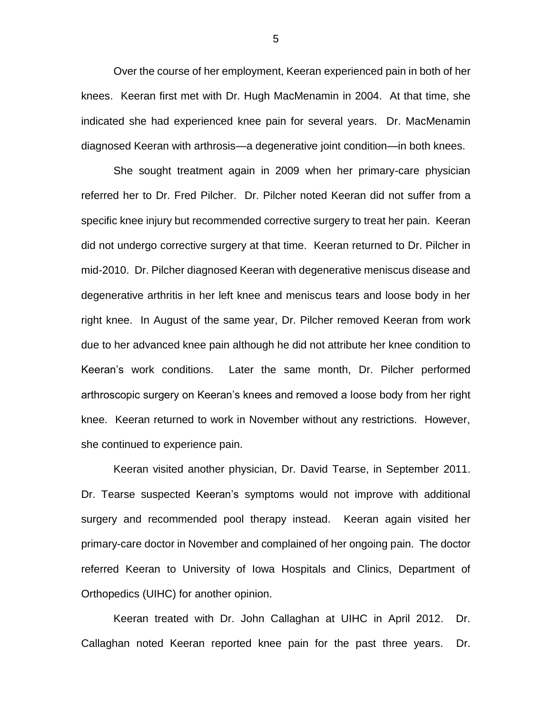Over the course of her employment, Keeran experienced pain in both of her knees. Keeran first met with Dr. Hugh MacMenamin in 2004. At that time, she indicated she had experienced knee pain for several years. Dr. MacMenamin diagnosed Keeran with arthrosis—a degenerative joint condition—in both knees.

She sought treatment again in 2009 when her primary-care physician referred her to Dr. Fred Pilcher. Dr. Pilcher noted Keeran did not suffer from a specific knee injury but recommended corrective surgery to treat her pain. Keeran did not undergo corrective surgery at that time. Keeran returned to Dr. Pilcher in mid-2010. Dr. Pilcher diagnosed Keeran with degenerative meniscus disease and degenerative arthritis in her left knee and meniscus tears and loose body in her right knee. In August of the same year, Dr. Pilcher removed Keeran from work due to her advanced knee pain although he did not attribute her knee condition to Keeran's work conditions. Later the same month, Dr. Pilcher performed arthroscopic surgery on Keeran's knees and removed a loose body from her right knee. Keeran returned to work in November without any restrictions. However, she continued to experience pain.

Keeran visited another physician, Dr. David Tearse, in September 2011. Dr. Tearse suspected Keeran's symptoms would not improve with additional surgery and recommended pool therapy instead. Keeran again visited her primary-care doctor in November and complained of her ongoing pain. The doctor referred Keeran to University of Iowa Hospitals and Clinics, Department of Orthopedics (UIHC) for another opinion.

Keeran treated with Dr. John Callaghan at UIHC in April 2012. Dr. Callaghan noted Keeran reported knee pain for the past three years. Dr.

5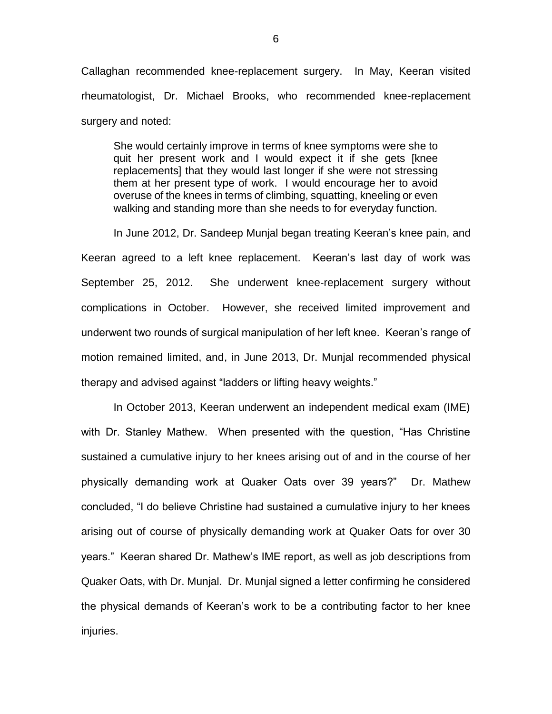Callaghan recommended knee-replacement surgery. In May, Keeran visited rheumatologist, Dr. Michael Brooks, who recommended knee-replacement surgery and noted:

She would certainly improve in terms of knee symptoms were she to quit her present work and I would expect it if she gets [knee replacements] that they would last longer if she were not stressing them at her present type of work. I would encourage her to avoid overuse of the knees in terms of climbing, squatting, kneeling or even walking and standing more than she needs to for everyday function.

In June 2012, Dr. Sandeep Munjal began treating Keeran's knee pain, and Keeran agreed to a left knee replacement. Keeran's last day of work was September 25, 2012. She underwent knee-replacement surgery without complications in October. However, she received limited improvement and underwent two rounds of surgical manipulation of her left knee. Keeran's range of motion remained limited, and, in June 2013, Dr. Munjal recommended physical therapy and advised against "ladders or lifting heavy weights."

In October 2013, Keeran underwent an independent medical exam (IME) with Dr. Stanley Mathew. When presented with the question, "Has Christine sustained a cumulative injury to her knees arising out of and in the course of her physically demanding work at Quaker Oats over 39 years?" Dr. Mathew concluded, "I do believe Christine had sustained a cumulative injury to her knees arising out of course of physically demanding work at Quaker Oats for over 30 years." Keeran shared Dr. Mathew's IME report, as well as job descriptions from Quaker Oats, with Dr. Munjal. Dr. Munjal signed a letter confirming he considered the physical demands of Keeran's work to be a contributing factor to her knee injuries.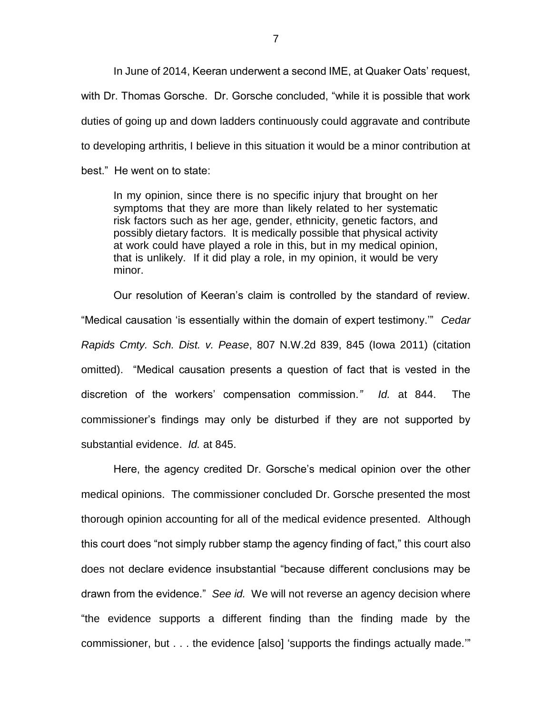In June of 2014, Keeran underwent a second IME, at Quaker Oats' request, with Dr. Thomas Gorsche. Dr. Gorsche concluded, "while it is possible that work duties of going up and down ladders continuously could aggravate and contribute to developing arthritis, I believe in this situation it would be a minor contribution at best." He went on to state:

In my opinion, since there is no specific injury that brought on her symptoms that they are more than likely related to her systematic risk factors such as her age, gender, ethnicity, genetic factors, and possibly dietary factors. It is medically possible that physical activity at work could have played a role in this, but in my medical opinion, that is unlikely. If it did play a role, in my opinion, it would be very minor.

Our resolution of Keeran's claim is controlled by the standard of review. "Medical causation 'is essentially within the domain of expert testimony.'" *Cedar Rapids Cmty. Sch. Dist. v. Pease*, 807 N.W.2d 839, 845 (Iowa 2011) (citation omitted). "Medical causation presents a question of fact that is vested in the discretion of the workers' compensation commission*." Id.* at 844. The commissioner's findings may only be disturbed if they are not supported by substantial evidence. *Id.* at 845.

Here, the agency credited Dr. Gorsche's medical opinion over the other medical opinions. The commissioner concluded Dr. Gorsche presented the most thorough opinion accounting for all of the medical evidence presented. Although this court does "not simply rubber stamp the agency finding of fact," this court also does not declare evidence insubstantial "because different conclusions may be drawn from the evidence." *See id.* We will not reverse an agency decision where "the evidence supports a different finding than the finding made by the commissioner, but . . . the evidence [also] 'supports the findings actually made.'"